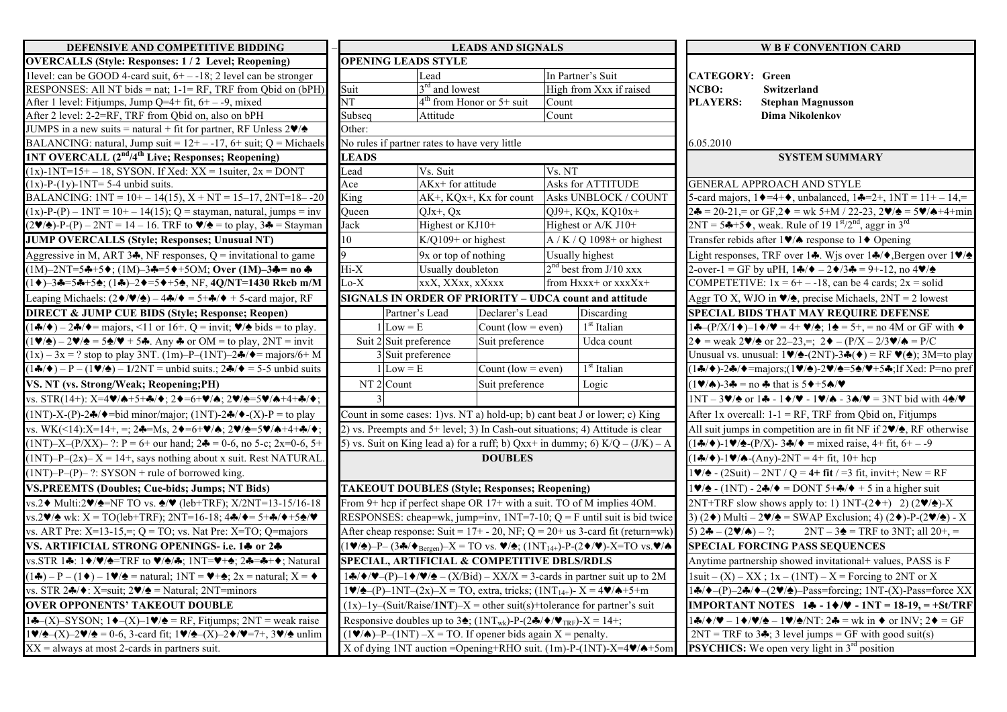| DEFENSIVE AND COMPETITIVE BIDDING                                                                                                                                                                                                                          | <b>LEADS AND SIGNALS</b> |                                                                                                                                                                    |                             |            |  |
|------------------------------------------------------------------------------------------------------------------------------------------------------------------------------------------------------------------------------------------------------------|--------------------------|--------------------------------------------------------------------------------------------------------------------------------------------------------------------|-----------------------------|------------|--|
| <b>OVERCALLS (Style: Responses: 1/2 Level; Reopening)</b>                                                                                                                                                                                                  |                          | <b>OPENING LEADS STYLE</b>                                                                                                                                         |                             |            |  |
| 1 level: can be GOOD 4-card suit, $6+ -18$ ; 2 level can be stronger                                                                                                                                                                                       |                          | Lead                                                                                                                                                               |                             | In Partı   |  |
| RESPONSES: All NT bids = nat; 1-1= RF, TRF from Qbid on (bPH)                                                                                                                                                                                              | Suit                     | 3 <sup>rd</sup> and lowest                                                                                                                                         |                             | High fr    |  |
| After 1 level: Fitjumps, Jump $Q=4+$ fit, $6+$ – -9, mixed                                                                                                                                                                                                 | NΤ                       |                                                                                                                                                                    | $4th$ from Honor or 5+ suit | Count      |  |
| After 2 level: 2-2=RF, TRF from Qbid on, also on bPH                                                                                                                                                                                                       | Subseq                   | Attitude                                                                                                                                                           |                             | Count      |  |
| JUMPS in a new suits = natural + fit for partner, RF Unless $2\Psi/\spadesuit$                                                                                                                                                                             | Other:                   |                                                                                                                                                                    |                             |            |  |
| BALANCING: natural, Jump suit = $12 + -17$ , 6+ suit; Q = Michaels                                                                                                                                                                                         |                          | No rules if partner rates to have very little                                                                                                                      |                             |            |  |
| <b>1NT OVERCALL (2nd/4th Live; Responses; Reopening)</b>                                                                                                                                                                                                   | <b>LEADS</b>             |                                                                                                                                                                    |                             |            |  |
| $(1x)$ -1NT=15+ – 18, SYSON. If Xed: XX = 1suiter, 2x = DONT                                                                                                                                                                                               | Lead                     | Vs. Suit                                                                                                                                                           |                             | Vs. NT     |  |
| $(1x)$ -P- $(1y)$ -1NT= 5-4 unbid suits.                                                                                                                                                                                                                   | Ace                      | AKx+ for attitude                                                                                                                                                  |                             | Asks fo    |  |
| BALANCING: $1NT = 10 + -14(15)$ , $X + NT = 15-17$ , $2NT=18-20$                                                                                                                                                                                           | King                     |                                                                                                                                                                    | AK+, KQx+, Kx for count     | Asks U     |  |
| $(1x)$ -P-(P) – 1NT = 10+ – 14(15); Q = stayman, natural, jumps = inv                                                                                                                                                                                      | Queen                    | $QJx+$ , $Qx$                                                                                                                                                      |                             | QJ9+, I    |  |
| $(2\blacktriangledown/\blacktriangle)$ -P-(P) – 2NT = 14 – 16. TRF to $\blacktriangledown/\blacktriangle$ = to play, 3 $\blacktriangle$ = Stayman                                                                                                          | Jack                     | Highest or KJ10+                                                                                                                                                   |                             | Highes     |  |
| <b>JUMP OVERCALLS (Style; Responses; Unusual NT)</b>                                                                                                                                                                                                       | 10                       | $K/Q109+$ or highest                                                                                                                                               |                             | A/K/       |  |
| Aggressive in M, ART $3\clubsuit$ , NF responses, Q = invitational to game                                                                                                                                                                                 | 9                        | 9x or top of nothing                                                                                                                                               |                             | Usually    |  |
| $(1M)$ -2NT=5 $\clubsuit$ +5 $\spadesuit$ ; $(1M)$ -3 $\clubsuit$ =5 $\spadesuit$ +5OM; Over $(1M)$ -3 $\clubsuit$ = no $\clubsuit$                                                                                                                        | Hi-X                     | Usually doubleton                                                                                                                                                  |                             | $2nd$ best |  |
| $(1\blacklozenge)$ -3&=5&+5 $\blacklozenge$ ; $(1\blacklozenge)$ -2 $\blacklozenge$ =5 $\blacklozenge$ +5 $\blacklozenge$ , NF, 4Q/NT=1430 Rkcb m/M                                                                                                        | Lo-X                     | xxX, XXxx, xXxxx                                                                                                                                                   |                             | from H     |  |
| Leaping Michaels: $(2\blacklozenge/\blacktriangledown/\blacktriangle) - 4\clubsuit/\blacktriangledown = 5 + \clubsuit/\blacktriangledown + 5$ -card major, RF                                                                                              |                          | <b>SIGNALS IN ORDER OF PRIORITY - UDCA cou</b>                                                                                                                     |                             |            |  |
| <b>DIRECT &amp; JUMP CUE BIDS (Style; Response; Reopen)</b>                                                                                                                                                                                                |                          | Partner's Lead                                                                                                                                                     | Declarer's Lead             |            |  |
| $(1\clubsuit/\blacklozenge) - 2\clubsuit/\blacklozenge = \text{majors},$ <11 or 16+. Q = invit; $\blacktriangledown/\blacktriangle$ bids = to play.                                                                                                        |                          | $1$ Low = E                                                                                                                                                        | Count (low = even)          |            |  |
| $(1\blacktriangledown/\blacktriangle) - 2\blacktriangledown/\blacktriangle = 5\blacktriangle/\blacktriangledown + 5\clubsuit$ . Any $\clubsuit$ or OM = to play, 2NT = invit                                                                               |                          | Suit 2 Suit preference                                                                                                                                             | Suit preference             |            |  |
| $(1x) - 3x = ?$ stop to play 3NT. $(1m) - P - (1NT) - 2\clubsuit/\spadesuit = \text{majors}/6 + M$                                                                                                                                                         |                          | 3 Suit preference                                                                                                                                                  |                             |            |  |
| $(1\clubsuit/\blacklozenge) - P - (1\blacktriangledown/\blacktriangle) - 1/2NT$ = unbid suits.; $2\clubsuit/\blacklozenge$ = 5-5 unbid suits                                                                                                               |                          | $1$ Low = E                                                                                                                                                        | Count (low = even)          |            |  |
| VS. NT (vs. Strong/Weak; Reopening; PH)                                                                                                                                                                                                                    | $NT2$ Count              |                                                                                                                                                                    | Suit preference             |            |  |
| vs. STR(14+): X=4♥/♠+5+♣/♦; 2♦=6+♥/♠; 2♥/♠=5♥/♠+4+♣/♦;                                                                                                                                                                                                     |                          |                                                                                                                                                                    |                             |            |  |
| $(1NT) - X - (P) - 2\clubsuit/\spadesuit = bid minor/major; (1NT) - 2\clubsuit/\spadesuit - (X) - P = to play$                                                                                                                                             |                          | Count in some cases: 1) vs. NT a) hold-up; b) cant beat                                                                                                            |                             |            |  |
| vs. WK(<14):X=14+, =; 2♣=Ms, 2♦=6+♥/♠; 2♥/♠=5♥/♠+4+♣/♦;                                                                                                                                                                                                    |                          | 2) vs. Preempts and 5+ level; 3) In Cash-out situations;                                                                                                           |                             |            |  |
| $(1NT) - X - (P/XX) - ?$ : P = 6+ our hand; 2 $\clubsuit$ = 0-6, no 5-c; 2x=0-6, 5+                                                                                                                                                                        |                          | 5) vs. Suit on King lead a) for a ruff; b) Qxx+ in dumm                                                                                                            |                             |            |  |
| $(1NT) - P - (2x) - X = 14 +$ , says nothing about x suit. Rest NATURAL                                                                                                                                                                                    |                          |                                                                                                                                                                    | <b>DOUBLES</b>              |            |  |
| $(1NT)-P-(P)$ - ?: SYSON + rule of borrowed king.                                                                                                                                                                                                          |                          |                                                                                                                                                                    |                             |            |  |
| <b>VS.PREEMTS (Doubles; Cue-bids; Jumps; NT Bids)</b>                                                                                                                                                                                                      |                          | <b>TAKEOUT DOUBLES (Style; Responses; Reopenii</b>                                                                                                                 |                             |            |  |
| vs.2♦ Multi:2♥/ $\triangle$ =NF TO vs. $\triangle$ /♥ (leb+TRF); X/2NT=13-15/16-18                                                                                                                                                                         |                          | From 9+ hcp if perfect shape OR 17+ with a suit. TO o                                                                                                              |                             |            |  |
| $vs.2\blacktriangledown/\blacktriangle$ wk: $X = TO(1eb + TRF); 2NT=16-18; 4\clubsuit/\blacktriangledown = 5+\clubsuit/\blacktriangledown +5\spadesuit/\blacktriangledown$                                                                                 |                          | RESPONSES: cheap=wk, jump=inv, 1NT=7-10; $Q = F$                                                                                                                   |                             |            |  |
| vs. ART Pre: $X=13-15$ ,=; $Q = TO$ ; vs. Nat Pre: $X=TO$ ; $Q=$ majors                                                                                                                                                                                    |                          | After cheap response: Suit = $17+ -20$ , NF; Q = $20+$ us                                                                                                          |                             |            |  |
| VS. ARTIFICIAL STRONG OPENINGS- i.e. 1♣ or 2♣                                                                                                                                                                                                              |                          | $(1\blacktriangledown/\blacktriangle)$ -P- $(3\clubsuit/\blacktriangle)$ <sub>Bergen</sub> )-X = TO vs. $\blacktriangledown/\blacktriangle;$ $(1NT_{14+})$ -P- $($ |                             |            |  |
| vs.STR 1♣: 1♦/♥/♠=TRF to ♥/♠/♣; 1NT=♥+♠; 2♣=♣+♦; Natural                                                                                                                                                                                                   |                          | SPECIAL, ARTIFICIAL & COMPETITIVE DBLS                                                                                                                             |                             |            |  |
| $(1\clubsuit) - P - (1\spadesuit) - 1\spadesuit$ = natural; 1NT = $\clubsuit$ + $\spadesuit$ ; 2x = natural; X = $\spadesuit$                                                                                                                              |                          | $1\clubsuit/\blacklozenge/\blacktriangledown$ - $(P)$ - $1\blacklozenge/\blacktriangledown/\blacktriangle$ - $(X/Bid)$ - $XX/X$ = 3-cards in p                     |                             |            |  |
| vs. STR $2\clubsuit/\blacklozenge$ : X=suit; $2\blacktriangledown/\blacktriangle$ = Natural; 2NT=minors                                                                                                                                                    |                          | $1\blacktriangleright\blacktriangle(-P)$ -1NT- $(2x)$ -X = TO, extra, tricks; $(1NT_{14+})$ -                                                                      |                             |            |  |
| <b>OVER OPPONENTS' TAKEOUT DOUBLE</b>                                                                                                                                                                                                                      |                          | $(1x)$ -1y-(Suit/Raise/1NT)-X = other suit(s)+tolerance                                                                                                            |                             |            |  |
| 14 $-(X)$ -SYSON; 1 $\blacklozenge$ - $(X)$ -1 $\blacktriangleright$ / $\blacktriangle$ = RF, Fitjumps; 2NT = weak raise                                                                                                                                   |                          | Responsive doubles up to 3 <sup><math>\triangle</math></sup> ; (1NT <sub>wk</sub> )-P-(2 $\triangle$ / $\blacklozenge$ / $\blacktriangledown$ <sub>TRF</sub> )     |                             |            |  |
| $1 \blacktriangleright / \blacktriangle - (X) - 2 \blacktriangleright / \blacktriangle = 0.6$ , 3-card fit; $1 \blacktriangleright / \blacktriangle - (X) - 2 \blacktriangleright / \blacktriangleright = 7 +$ , $3 \blacktriangleright / \triangle$ unlim |                          | $(1\blacktriangleright\blacktriangle)$ -P- $(1NT)$ -X = TO. If opener bids again X = p                                                                             |                             |            |  |
| $XX =$ always at most 2-cards in partners suit.                                                                                                                                                                                                            |                          | X of dying 1NT auction = Opening + RHO suit. (1m)-P-                                                                                                               |                             |            |  |

| DEFENSIVE AND COMPETITIVE BIDDING                                                                                                                                                                                                          | <b>LEADS AND SIGNALS</b>                                                                                                                                                |                                                                                  |                                                                                               |                                                                                                                                                                                                                                                |                                                                                                                             | <b>W B F CONVENTION CARD</b>                                                                                                                                                                                                 |  |  |
|--------------------------------------------------------------------------------------------------------------------------------------------------------------------------------------------------------------------------------------------|-------------------------------------------------------------------------------------------------------------------------------------------------------------------------|----------------------------------------------------------------------------------|-----------------------------------------------------------------------------------------------|------------------------------------------------------------------------------------------------------------------------------------------------------------------------------------------------------------------------------------------------|-----------------------------------------------------------------------------------------------------------------------------|------------------------------------------------------------------------------------------------------------------------------------------------------------------------------------------------------------------------------|--|--|
| <b>OVERCALLS</b> (Style: Responses: 1/2 Level; Reopening)                                                                                                                                                                                  |                                                                                                                                                                         | <b>OPENING LEADS STYLE</b>                                                       |                                                                                               |                                                                                                                                                                                                                                                |                                                                                                                             |                                                                                                                                                                                                                              |  |  |
| 1 level: can be GOOD 4-card suit, $6+ -18$ ; 2 level can be stronger                                                                                                                                                                       |                                                                                                                                                                         | Lead                                                                             |                                                                                               | In Partner's Suit                                                                                                                                                                                                                              | <b>CATEGORY: Green</b>                                                                                                      |                                                                                                                                                                                                                              |  |  |
| RESPONSES: All NT bids = nat; $1-1=RF$ , TRF from Qbid on (bPH)                                                                                                                                                                            | Suit                                                                                                                                                                    | $3rd$ and lowest                                                                 |                                                                                               | High from Xxx if raised                                                                                                                                                                                                                        | NCBO:                                                                                                                       | Switzerland                                                                                                                                                                                                                  |  |  |
| After 1 level: Fitjumps, Jump Q=4+ fit, 6+ - -9, mixed                                                                                                                                                                                     | NT                                                                                                                                                                      |                                                                                  | $4th$ from Honor or 5+ suit                                                                   | Count                                                                                                                                                                                                                                          | <b>PLAYERS:</b>                                                                                                             | <b>Stephan Magnusson</b>                                                                                                                                                                                                     |  |  |
| After 2 level: 2-2=RF, TRF from Qbid on, also on bPH                                                                                                                                                                                       | Subseq                                                                                                                                                                  | Attitude                                                                         |                                                                                               | Count                                                                                                                                                                                                                                          |                                                                                                                             | Dima Nikolenkov                                                                                                                                                                                                              |  |  |
| JUMPS in a new suits = natural + fit for partner, RF Unless $2\Psi/\spadesuit$                                                                                                                                                             | Other:                                                                                                                                                                  |                                                                                  |                                                                                               |                                                                                                                                                                                                                                                |                                                                                                                             |                                                                                                                                                                                                                              |  |  |
| BALANCING: natural, Jump suit = $12 + -17$ , 6+ suit; Q = Michaels                                                                                                                                                                         |                                                                                                                                                                         | No rules if partner rates to have very little                                    |                                                                                               |                                                                                                                                                                                                                                                | 6.05.2010                                                                                                                   |                                                                                                                                                                                                                              |  |  |
| <b>1NT OVERCALL (2<sup>nd</sup>/4<sup>th</sup> Live; Responses; Reopening)</b>                                                                                                                                                             | <b>LEADS</b>                                                                                                                                                            |                                                                                  |                                                                                               |                                                                                                                                                                                                                                                |                                                                                                                             | <b>SYSTEM SUMMARY</b>                                                                                                                                                                                                        |  |  |
| $(1x)$ -1NT=15+ – 18, SYSON. If Xed: XX = 1suiter, 2x = DONT                                                                                                                                                                               | Lead                                                                                                                                                                    | Vs. Suit                                                                         |                                                                                               | Vs. NT                                                                                                                                                                                                                                         |                                                                                                                             |                                                                                                                                                                                                                              |  |  |
| $(1x)$ -P- $(1y)$ -1NT= 5-4 unbid suits.                                                                                                                                                                                                   | Ace                                                                                                                                                                     | AKx+ for attitude                                                                |                                                                                               | Asks for ATTITUDE                                                                                                                                                                                                                              |                                                                                                                             | <b>GENERAL APPROACH AND STYLE</b>                                                                                                                                                                                            |  |  |
| BALANCING: $1NT = 10+-14(15)$ , $X + NT = 15-17$ , $2NT=18-20$                                                                                                                                                                             | King                                                                                                                                                                    |                                                                                  | AK+, KQx+, Kx for count                                                                       | Asks UNBLOCK / COUNT                                                                                                                                                                                                                           |                                                                                                                             | 5-card majors, $1 \rightarrow 4 + \rightarrow$ , unbalanced, $1 \rightarrow 2 +$ , $1NT = 11 + -14 =$                                                                                                                        |  |  |
| $(1x)$ -P-(P) – 1NT = 10+ – 14(15); Q = stayman, natural, jumps = inv                                                                                                                                                                      | Oueen                                                                                                                                                                   | $QJx+$ , $Qx$                                                                    |                                                                                               | QJ9+, KQx, KQ10x+                                                                                                                                                                                                                              |                                                                                                                             | $2\clubsuit = 20-21 = \text{or } GF, 2\spadesuit = \text{wk } 5 + M / 22 - 23$ , $2\spadesuit / \spadesuit = 5\spadesuit / \spadesuit + 4 + \text{min }$                                                                     |  |  |
| $(2\blacktriangledown/\blacktriangle)$ -P-(P) – 2NT = 14 – 16. TRF to $\blacktriangledown/\blacktriangle$ = to play, 3 $\blacktriangle$ = Stayman                                                                                          | Jack                                                                                                                                                                    | Highest or KJ10+                                                                 |                                                                                               | Highest or $A/K$ J10+                                                                                                                                                                                                                          |                                                                                                                             | $2NT = 5 + 5$ , weak. Rule of 19 $1st/2nd$ , aggr in 3 <sup>rd</sup>                                                                                                                                                         |  |  |
| <b>JUMP OVERCALLS (Style; Responses; Unusual NT)</b>                                                                                                                                                                                       | 10                                                                                                                                                                      |                                                                                  | K/Q109+ or highest                                                                            | $A/K/Q$ 1098+ or highest                                                                                                                                                                                                                       |                                                                                                                             | Transfer rebids after $1 \blacktriangleright / \blacktriangle$ response to $1 \blacklozenge$ Opening                                                                                                                         |  |  |
| Aggressive in M, ART $3\clubsuit$ , NF responses, Q = invitational to game                                                                                                                                                                 |                                                                                                                                                                         |                                                                                  | 9x or top of nothing                                                                          | Usually highest                                                                                                                                                                                                                                |                                                                                                                             | Light responses, TRF over 14. Wis over $1\clubsuit/\blacklozenge$ , Bergen over $1\blacktriangledown/\blacktriangle$                                                                                                         |  |  |
| $(1M)$ -2NT=5 $\clubsuit$ +5 $\spadesuit$ ; $(1M)$ -3 $\clubsuit$ =5 $\spadesuit$ +5OM; Over $(1M)$ -3 $\clubsuit$ = no $\spadesuit$                                                                                                       | $Hi-X$                                                                                                                                                                  | Usually doubleton                                                                |                                                                                               | $2nd$ best from J/10 xxx                                                                                                                                                                                                                       |                                                                                                                             | 2-over-1 = GF by uPH, $1\clubsuit/\blacklozenge - 2\blacklozenge/3\clubsuit = 9+12$ , no $4\blacktriangledown/\blacktriangle$                                                                                                |  |  |
| $(1\blacklozenge)$ -34=54+5 $\blacklozenge$ ; $(1\blacklozenge)$ -2 $\blacklozenge$ =5 $\blacklozenge$ +5 $\blacklozenge$ , NF, 4Q/NT=1430 Rkcb m/M                                                                                        | $Lo-X$                                                                                                                                                                  |                                                                                  | xxX, XXxx, xXxxx                                                                              | from Hxxx+ or xxxXx+                                                                                                                                                                                                                           |                                                                                                                             | COMPETETIVE: $1x = 6 + -18$ , can be 4 cards; $2x = solid$                                                                                                                                                                   |  |  |
| Leaping Michaels: $(2\blacklozenge/\blacktriangledown/\blacktriangle) - 4\clubsuit/\blacklozenge = 5 + \clubsuit/\blacktriangledown + 5$ -card major, RF                                                                                   |                                                                                                                                                                         |                                                                                  |                                                                                               | <b>SIGNALS IN ORDER OF PRIORITY - UDCA count and attitude</b>                                                                                                                                                                                  |                                                                                                                             | Aggr TO X, WJO in $\blacktriangledown/\blacktriangle$ , precise Michaels, 2NT = 2 lowest                                                                                                                                     |  |  |
| DIRECT & JUMP CUE BIDS (Style; Response; Reopen)                                                                                                                                                                                           |                                                                                                                                                                         | Partner's Lead                                                                   | Declarer's Lead                                                                               | Discarding                                                                                                                                                                                                                                     |                                                                                                                             | SPECIAL BIDS THAT MAY REQUIRE DEFENSE                                                                                                                                                                                        |  |  |
| $(1\clubsuit/\blacklozenge) - 2\clubsuit/\blacklozenge = \text{majors},$ <11 or 16+. Q = invit; $\blacktriangledown/\blacktriangle$ bids = to play.                                                                                        |                                                                                                                                                                         | $1$ Low = E                                                                      | Count (low = even)                                                                            | 1 <sup>st</sup> Italian                                                                                                                                                                                                                        |                                                                                                                             | $1\clubsuit$ (P/X/1 $\blacklozenge$ ) –1 $\blacklozenge/\blacktriangledown$ = 4+ $\blacktriangledown/\blacktriangle$ ; 1 $\spadesuit$ = 5+, = no 4M or GF with $\blacklozenge$                                               |  |  |
| $(1\blacktriangledown/\blacktriangle) - 2\blacktriangledown/\blacktriangle = 5\blacktriangle/\blacktriangledown + 5\clubsuit$ . Any $\clubsuit$ or OM = to play, 2NT = invit                                                               |                                                                                                                                                                         | Suit 2 Suit preference                                                           | Suit preference                                                                               | Udca count                                                                                                                                                                                                                                     |                                                                                                                             | 2♦ = weak 2♥/ $\triangle$ or 22–23,=; 2♦ – (P/X – 2/3♥/ $\triangle$ = P/C                                                                                                                                                    |  |  |
| $(1x) - 3x = ?$ stop to play 3NT. $(1m) - P - (1NT) - 2\clubsuit/\spadesuit = \text{majors/6+M}$                                                                                                                                           |                                                                                                                                                                         | 3 Suit preference                                                                |                                                                                               |                                                                                                                                                                                                                                                |                                                                                                                             | Unusual vs. unusual: $1 \blacktriangledown / \blacktriangle (-2NT) - 3 \clubsuit (\blacktriangle ) = RF \blacktriangledown (\blacktriangle )$ ; 3M=to play                                                                   |  |  |
| $(1\clubsuit/\blacklozenge) - P - (1\blacktriangledown/\blacktriangle) - 1/2NT =$ unbid suits.; $2\clubsuit/\blacklozenge = 5-5$ unbid suits                                                                                               |                                                                                                                                                                         | $1$ Low = E                                                                      | Count (low = even)                                                                            | 1 <sup>st</sup> Italian                                                                                                                                                                                                                        |                                                                                                                             | (1♣/♦)-2♣/♦=majors;(1♥/♠)-2♥/♠=5♠/♥+5♣;If Xed: P=no pref                                                                                                                                                                     |  |  |
| VS. NT (vs. Strong/Weak; Reopening; PH)                                                                                                                                                                                                    | NT <sub>2</sub> Count                                                                                                                                                   |                                                                                  | Suit preference                                                                               | Logic                                                                                                                                                                                                                                          |                                                                                                                             | $(1\blacktriangleright/\blacktriangle)$ -3 $\blacklozenge$ = no $\blacklozenge$ that is 5 $\blacklozenge$ +5 $\blacktriangle/\blacktriangleright$                                                                            |  |  |
| vs. STR(14+): X=4♥/♠+5+♣/♦; 2♦=6+♥/♠; 2♥/♠=5♥/♠+4+♣/♦;                                                                                                                                                                                     |                                                                                                                                                                         |                                                                                  |                                                                                               |                                                                                                                                                                                                                                                |                                                                                                                             | $1NT - 3\blacktriangledown/\blacktriangle$ or $1\clubsuit - 1\blacktriangledown/\blacktriangledown - 1\blacktriangledown/\blacktriangle - 3\blacktriangle/\blacktriangledown = 3NT$ bid with $4\triangle/\blacktriangledown$ |  |  |
| $(1NT) - X - (P) - 2\clubsuit/\spadesuit = bid minor/major; (1NT) - 2\clubsuit/\spadesuit - (X) - P = to play$                                                                                                                             |                                                                                                                                                                         |                                                                                  |                                                                                               | Count in some cases: 1) vs. NT a) hold-up; b) cant beat J or lower; c) King                                                                                                                                                                    |                                                                                                                             | After 1x overcall: $1-1 = RF$ , TRF from Qbid on, Fitjumps                                                                                                                                                                   |  |  |
| vs. WK(<14):X=14+, =; 2♣=Ms, 2♦=6+♥/♠; 2♥/♠=5♥/♠+4+♣/♦;                                                                                                                                                                                    |                                                                                                                                                                         |                                                                                  |                                                                                               | 2) vs. Preempts and $5+$ level; 3) In Cash-out situations; 4) Attitude is clear                                                                                                                                                                |                                                                                                                             | All suit jumps in competition are in fit NF if 2 $\blacktriangledown/\blacktriangle$ , RF otherwise                                                                                                                          |  |  |
| $(1NT) - X - (P/XX) - ?$ : $P = 6 +$ our hand; $2\clubsuit = 0.6$ , no 5-c; $2x=0.6$ , $5+$                                                                                                                                                |                                                                                                                                                                         | 5) vs. Suit on King lead a) for a ruff; b) $Qxx+$ in dummy; 6) $K/Q - (J/K) - A$ |                                                                                               |                                                                                                                                                                                                                                                | $(1\clubsuit/\bullet)$ -1 $\blacktriangleright$ / $\spadesuit$ -(P/X)- 3 $\clubsuit/\bullet$ = mixed raise, 4+ fit, 6+ - -9 |                                                                                                                                                                                                                              |  |  |
| $(1NT) - P - (2x) - X = 14 +$ , says nothing about x suit. Rest NATURAL                                                                                                                                                                    |                                                                                                                                                                         |                                                                                  | <b>DOUBLES</b>                                                                                |                                                                                                                                                                                                                                                |                                                                                                                             | $(1\clubsuit/\spadesuit)$ -1 $\blacktriangleright$ / $\spadesuit$ -(Any)-2NT = 4+ fit, 10+ hcp                                                                                                                               |  |  |
| $(1NT) - P - (P) - ?$ : SYSON + rule of borrowed king.                                                                                                                                                                                     |                                                                                                                                                                         |                                                                                  |                                                                                               |                                                                                                                                                                                                                                                |                                                                                                                             | $1\blacktriangleright/\blacktriangle$ - (2Suit) – 2NT / Q = 4+ fit / =3 fit, invit+; New = RF                                                                                                                                |  |  |
| <b>VS.PREEMTS (Doubles; Cue-bids; Jumps; NT Bids)</b>                                                                                                                                                                                      |                                                                                                                                                                         |                                                                                  | <b>TAKEOUT DOUBLES (Style; Responses; Reopening)</b>                                          |                                                                                                                                                                                                                                                |                                                                                                                             | $1\blacktriangleright/\blacktriangle$ - (1NT) - 2 $\blacklozenge/\blacklozenge$ = DONT 5+ $\blacklozenge/\blacklozenge$ + 5 in a higher suit                                                                                 |  |  |
| $vs.2$ ♦ Multi:2 $\blacktriangledown$ / $\blacktriangle$ =NF TO vs. $\blacktriangle$ / $\blacktriangledown$ (leb+TRF); X/2NT=13-15/16-18                                                                                                   |                                                                                                                                                                         |                                                                                  |                                                                                               | From 9+ hcp if perfect shape OR 17+ with a suit. TO of M implies 4OM.                                                                                                                                                                          |                                                                                                                             | 2NT+TRF slow shows apply to: 1) 1NT- $(2\blacklozenge +)$ 2) $(2\blacktriangledown/\blacktriangle)$ -X                                                                                                                       |  |  |
| $vs.2$ V/ $\triangle$ wk: $X = TO(1e^{t+TRF})$ ; 2NT=16-18; 4♣/ $\blacklozenge = 5 + \clubsuit / \blacklozenge + 5 \triangle / \blacktriangledown$                                                                                         |                                                                                                                                                                         |                                                                                  |                                                                                               | RESPONSES: cheap=wk, jump=inv, 1NT=7-10; $Q = F$ until suit is bid twice                                                                                                                                                                       |                                                                                                                             | 3) (2 $\blacklozenge$ ) Multi – 2 $\blacktriangledown/\blacktriangle$ = SWAP Exclusion; 4) (2 $\blacklozenge$ )-P-(2 $\blacktriangledown/\blacktriangle$ ) - X                                                               |  |  |
| vs. ART Pre: $X=13-15=$ ; $Q = TO$ ; vs. Nat Pre: $X=TO$ ; $Q=$ majors                                                                                                                                                                     |                                                                                                                                                                         |                                                                                  |                                                                                               | After cheap response: Suit = $17 + -20$ , NF; Q = $20 +$ us 3-card fit (return=wk)                                                                                                                                                             | 5) $2\clubsuit - (2\blacktriangledown/\spadesuit) - ?;$                                                                     | $2NT - 3$ = TRF to 3NT; all $20 +$ , =                                                                                                                                                                                       |  |  |
| VS. ARTIFICIAL STRONG OPENINGS- i.e. 14 or 24                                                                                                                                                                                              |                                                                                                                                                                         |                                                                                  |                                                                                               | $(1\blacktriangledown/\blacktriangle)-P-(3\blacktriangle/\blacktriangledown_{\text{Bergen}})-X=TO$ vs. $\blacktriangledown/\blacktriangle$ ; $(1NT_{14+})-P-(2\blacktriangle/\blacktriangledown)-X=TO$ vs. $\blacktriangledown/\blacktriangle$ |                                                                                                                             | <b>SPECIAL FORCING PASS SEQUENCES</b>                                                                                                                                                                                        |  |  |
| vs.STR 1♣: 1♦/♥/♠=TRF to ♥/♠/♣; 1NT=♥+♠; 2♣=♣+♦; Natural                                                                                                                                                                                   |                                                                                                                                                                         |                                                                                  |                                                                                               | <b>SPECIAL, ARTIFICIAL &amp; COMPETITIVE DBLS/RDLS</b>                                                                                                                                                                                         |                                                                                                                             | Anytime partnership showed invitational+ values, PASS is F                                                                                                                                                                   |  |  |
| $(1\clubsuit) - P - (1\spadesuit) - 1\spadesuit$ = natural; 1NT = $\clubsuit$ + $\spadesuit$ ; 2x = natural; X = $\spadesuit$                                                                                                              |                                                                                                                                                                         |                                                                                  |                                                                                               | $1\clubsuit/\blacklozenge\blacktriangleright/\blacktriangleright(-\rho)$ $-1\blacklozenge/\blacktriangleright/\blacktriangleright(-\chi/\text{Bid}) - XX/X = 3$ -cards in partner suit up to 2M                                                |                                                                                                                             | $1\text{ suit} - (X) - XX$ ; $1x - (1NT) - X =$ Forcing to 2NT or X                                                                                                                                                          |  |  |
| vs. STR $2\clubsuit/\blacklozenge$ : X=suit; $2\blacktriangledown/\blacktriangle$ = Natural; 2NT=minors                                                                                                                                    | $1\blacktriangleright$ / $\blacktriangleright$ -(P)-1NT-(2x)-X = TO, extra, tricks; (1NT <sub>14+</sub> )- X = 4 $\blacktriangleright$ / $\blacklozenge$ +5+m           |                                                                                  |                                                                                               | $1\clubsuit/\blacklozenge$ -(P)-2 $\clubsuit/\blacklozenge$ -(2 $\blacktriangledown/\blacktriangle$ )-Pass=forcing; 1NT-(X)-Pass=force XX                                                                                                      |                                                                                                                             |                                                                                                                                                                                                                              |  |  |
| <b>OVER OPPONENTS' TAKEOUT DOUBLE</b>                                                                                                                                                                                                      | $(1x)$ -1y-(Suit/Raise/ <b>1NT</b> )-X = other suit(s)+tolerance for partner's suit                                                                                     |                                                                                  |                                                                                               | <b>IMPORTANT NOTES</b> $1\clubsuit -1\spadesuit/\blacktriangledown -1NT = 18-19, = +St/TRF$                                                                                                                                                    |                                                                                                                             |                                                                                                                                                                                                                              |  |  |
| 14 -(X)-SYSON; $1 \cdot (-X)$ -1 $\cdot$ / $\cdot =$ RF, Fitjumps; $2NT$ = weak raise                                                                                                                                                      | Responsive doubles up to 3 <sup><math>\triangle</math></sup> ; (1NT <sub>wk</sub> )-P-(2 $\triangle$ / $\blacklozenge$ / $\blacktriangledown$ <sub>TRF</sub> )-X = 14+; |                                                                                  |                                                                                               | $1\clubsuit/\blacklozenge/\blacktriangledown-1\blacktriangledown/\blacktriangle-1\blacktriangledown/\blacktriangle/\mathrm{NT}$ : 2 $\clubsuit = \text{wk}$ in $\blacklozenge$ or INV; 2 $\blacklozenge = \text{GF}$                           |                                                                                                                             |                                                                                                                                                                                                                              |  |  |
| $1\blacktriangledown/\blacktriangle - (X) - 2\blacktriangledown/\blacktriangle = 0.6$ , 3-card fit; $1\blacktriangledown/\blacktriangle - (X) - 2\blacktriangledown/\blacktriangledown = 7 +$ , $3\blacktriangledown/\blacktriangle$ unlim |                                                                                                                                                                         |                                                                                  | $(1\blacktriangleright\blacktriangle)$ -P- $(1NT)$ -X = TO. If opener bids again X = penalty. |                                                                                                                                                                                                                                                |                                                                                                                             | $2NT = TRF$ to 3 <sup>*</sup> , 3 level jumps = GF with good suit(s)                                                                                                                                                         |  |  |
| $XX =$ always at most 2-cards in partners suit.                                                                                                                                                                                            |                                                                                                                                                                         |                                                                                  |                                                                                               | X of dying 1NT auction = Opening + RHO suit. $(1m)$ -P- $(1NT)$ -X=4 $\blacktriangleright$ A+5om                                                                                                                                               |                                                                                                                             | <b>PSYCHICS:</b> We open very light in $3rd$ position                                                                                                                                                                        |  |  |

|                   | <b>W B F CONVENTION CARD</b>                                                                                                                                                                                                 |
|-------------------|------------------------------------------------------------------------------------------------------------------------------------------------------------------------------------------------------------------------------|
| NCBO:<br>PLAYERS: | <b>CATEGORY: Green</b><br>Switzerland<br>Stephan Magnusson<br><b>Dima Nikolenkov</b>                                                                                                                                         |
| 6.05.2010         |                                                                                                                                                                                                                              |
|                   | <b>SYSTEM SUMMARY</b>                                                                                                                                                                                                        |
|                   | GENERAL APPROACH AND STYLE                                                                                                                                                                                                   |
|                   | 5-card majors, $1 \blacklozenge = 4 + \blacklozenge$ , unbalanced, $1 \blacklozenge = 2 +$ , $1NT = 11 + -14 =$                                                                                                              |
|                   | $2\clubsuit = 20-21 = \text{or } GF, 2\spadesuit = \text{wk } 5 + M / 22 - 23$ , $2\spadesuit / \spadesuit = 5\spadesuit / \spadesuit + 4 + \text{min }$                                                                     |
|                   | $2NT = 5 + 5$ , weak. Rule of 19 $1st/2nd$ , aggr in $3rd$                                                                                                                                                                   |
|                   | Transfer rebids after $1 \blacktriangleright / \blacklozenge$ response to $1 \blacklozenge$ Opening                                                                                                                          |
|                   | Light responses, TRF over 1♣. Wjs over 1♣/♦, Bergen over 1♥/◆                                                                                                                                                                |
|                   | 2-over-1 = GF by uPH, $1\clubsuit/\blacklozenge - 2\blacklozenge/3\clubsuit = 9+12$ , no $4\blacktriangledown/\blacktriangle$                                                                                                |
|                   | COMPETETIVE: $1x = 6 + -18$ , can be 4 cards; $2x =$ solid                                                                                                                                                                   |
|                   | Aggr TO X, WJO in $\blacktriangledown/\blacktriangle$ , precise Michaels, 2NT = 2 lowest                                                                                                                                     |
|                   | SPECIAL BIDS THAT MAY REQUIRE DEFENSE                                                                                                                                                                                        |
|                   | $1\clubsuit$ -(P/X/1 $\blacklozenge$ )-1 $\blacklozenge/\blacktriangledown$ = 4+ $\blacktriangledown/\blacktriangle$ ; 1 $\spadesuit$ = 5+, = no 4M or GF with $\blacklozenge$                                               |
|                   | 2 $\blacklozenge$ = weak 2 $\blacktriangledown/\blacktriangle$ or 22–23,=; 2 $\blacklozenge$ – (P/X – 2/3 $\blacktriangledown/\blacktriangle$ = P/C                                                                          |
|                   | Unusual vs. unusual: $1\blacktriangledown/\blacktriangle$ -(2NT)-3 $\blacktriangle(\blacktriangle)$ = RF $\blacktriangledown(\blacktriangle)$ ; 3M=to play                                                                   |
|                   | (14/♦)-24/♦=majors;(1♥/▲)-2♥/▲=5▲/♥+54;If Xed: P=no pref                                                                                                                                                                     |
|                   | $(1\blacktriangleright/\blacktriangle)$ -3 $\blacktriangleright$ = no $\blacktriangleright$ that is 5 $\blacktriangleright$ +5 $\blacktriangle/\blacktriangleright$                                                          |
|                   | $1NT - 3\blacktriangledown/\blacktriangle$ or $1\clubsuit - 1\blacktriangledown/\blacktriangledown - 1\blacktriangledown/\blacktriangle - 3\blacktriangle/\blacktriangledown = 3NT$ bid with $4\triangle/\blacktriangledown$ |
|                   | After 1x overcall: $1-1 = RF$ , TRF from Qbid on, Fitjumps                                                                                                                                                                   |
|                   |                                                                                                                                                                                                                              |
|                   | All suit jumps in competition are in fit NF if $2\Psi/\spadesuit$ , RF otherwise                                                                                                                                             |
|                   | $(1\clubsuit/\bullet)$ -1 $\blacktriangleright$ (P/X)-3 $\clubsuit/\bullet$ = mixed raise, 4+ fit, $\overline{6+-}$ -9                                                                                                       |
|                   | $(1\clubsuit/\bullet)$ -1 $\blacktriangleright$ / $\spadesuit$ -(Any)-2NT = 4+ fit, 10+ hcp                                                                                                                                  |
|                   | $1\blacktriangleright/\blacktriangle$ - (2Suit) – 2NT / Q = 4+ fit / =3 fit, invit+; New = RF                                                                                                                                |
|                   | $1\blacktriangleright/\blacktriangle$ - (1NT) - 2 $\blacklozenge/\blacklozenge$ = DONT 5+ $\blacklozenge/\blacklozenge$ + 5 in a higher suit                                                                                 |
|                   | 2NT+TRF slow shows apply to: 1) $1NT-(2+1)$ 2) $(2\blacktriangledown/\blacktriangle)$ -X                                                                                                                                     |
|                   | 3) $(2\blacklozenge)$ Multi $-2\blacktriangledown/\blacktriangle =$ SWAP Exclusion; 4) $(2\blacklozenge)$ -P- $(2\blacktriangledown/\blacktriangle)$ - X                                                                     |
|                   | 5) $2\clubsuit - (2\blacktriangledown/\spadesuit) - ?;$ 2NT $-3\spadesuit = TRF$ to 3NT; all $20+, =$                                                                                                                        |
|                   | SPECIAL FORCING PASS SEQUENCES                                                                                                                                                                                               |
|                   | Anytime partnership showed invitational+ values, PASS is F                                                                                                                                                                   |
|                   | $1\text{ suit} - (X) - XX$ ; $1x - (1NT) - X =$ Forcing to 2NT or X                                                                                                                                                          |
|                   | 1↑/◆-(P)-2↑/◆-(2♥/◆)-Pass=forcing; 1NT-(X)-Pass=force XX                                                                                                                                                                     |
|                   | <b>IMPORTANT NOTES 14 - 14/V - 1NT = 18-19, = +St/TRF</b>                                                                                                                                                                    |
|                   | $1\clubsuit/\blacklozenge/\blacktriangledown-1\blacktriangledown/\blacktriangle-1\blacktriangledown/\blacktriangle/\mathrm{NT}$ : $2\clubsuit=\mathrm{wk}$ in $\blacklozenge$ or INV; $2\blacklozenge=\mathrm{GF}$           |
|                   | $2NT = TRF$ to 3 <sup>*</sup> , 3 level jumps = GF with good suit(s)                                                                                                                                                         |
|                   | <b>PSYCHICS:</b> We open very light in $3rd$ position                                                                                                                                                                        |